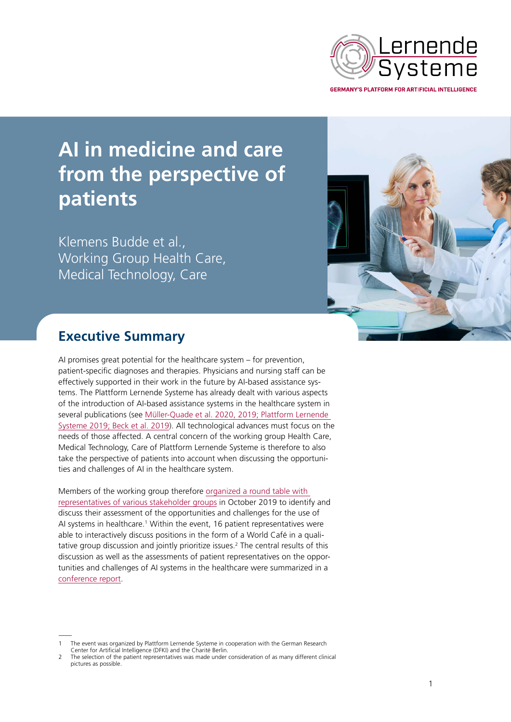

# **AI in medicine and care from the perspective of patients**

Klemens Budde et al., Working Group Health Care, Medical Technology, Care



# **Executive Summary**

AI promises great potential for the healthcare system – for prevention, patient-specific diagnoses and therapies. Physicians and nursing staff can be effectively supported in their work in the future by AI-based assistance systems. The Plattform Lernende Systeme has already dealt with various aspects of the introduction of AI-based assistance systems in the healthcare system in several publications (see [Müller-Quade et al. 2020, 2019; Plattform Lernende](https://www.plattform-lernende-systeme.de/files/Downloads/Publikationen_EN/AG6_Executive_Summary_final_200206.pdf)  [Systeme 2019; Beck et al. 2019](https://www.plattform-lernende-systeme.de/files/Downloads/Publikationen_EN/AG6_Executive_Summary_final_200206.pdf)). All technological advances must focus on the needs of those affected. A central concern of the working group Health Care, Medical Technology, Care of Plattform Lernende Systeme is therefore to also take the perspective of patients into account when discussing the opportunities and challenges of AI in the healthcare system.

Members of the working group therefore [organized a round table with](https://www.plattform-lernende-systeme.de/aktuelles-newsreader/der-mensch-im-fokus-plattform-laedt-patientenvertreter-zum-round-table-zu-ki-in-der-medizin.html)  [representatives of various stakeholder groups](https://www.plattform-lernende-systeme.de/aktuelles-newsreader/der-mensch-im-fokus-plattform-laedt-patientenvertreter-zum-round-table-zu-ki-in-der-medizin.html) in October 2019 to identify and discuss their assessment of the opportunities and challenges for the use of AI systems in healthcare.<sup>[1](#page-0-0)</sup> Within the event, 16 patient representatives were able to interactively discuss positions in the form of a World Café in a qualitative group discussion and jointly prioritize issues.<sup>2</sup> The central results of this discussion as well as the assessments of patient representatives on the opportunities and challenges of AI systems in the healthcare were summarized in a [conference report.](https://www.plattform-lernende-systeme.de/files/Downloads/Publikationen/AG6_Whitepaper_Medizin_Pflege_Tagungsbericht.pdf)

<span id="page-0-0"></span>The event was organized by Plattform Lernende Systeme in cooperation with the German Research Center for Artificial Intelligence (DFKI) and the Charité Berlin.

<span id="page-0-1"></span>The selection of the patient representatives was made under consideration of as many different clinical pictures as possible.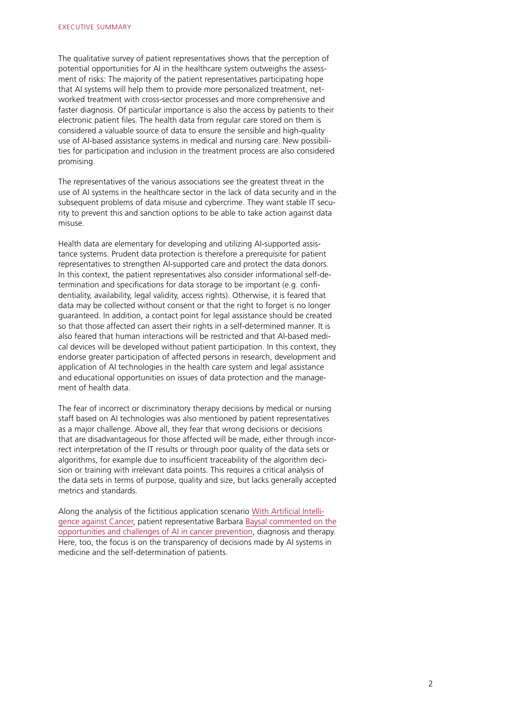The qualitative survey of patient representatives shows that the perception of potential opportunities for AI in the healthcare system outweighs the assessment of risks: The majority of the patient representatives participating hope that AI systems will help them to provide more personalized treatment, networked treatment with cross-sector processes and more comprehensive and faster diagnosis. Of particular importance is also the access by patients to their electronic patient files. The health data from regular care stored on them is considered a valuable source of data to ensure the sensible and high-quality use of AI-based assistance systems in medical and nursing care. New possibilities for participation and inclusion in the treatment process are also considered promising.

The representatives of the various associations see the greatest threat in the use of AI systems in the healthcare sector in the lack of data security and in the subsequent problems of data misuse and cybercrime. They want stable IT security to prevent this and sanction options to be able to take action against data misuse.

Health data are elementary for developing and utilizing AI-supported assistance systems. Prudent data protection is therefore a prerequisite for patient representatives to strengthen AI-supported care and protect the data donors. In this context, the patient representatives also consider informational self-determination and specifications for data storage to be important (e.g. confidentiality, availability, legal validity, access rights). Otherwise, it is feared that data may be collected without consent or that the right to forget is no longer guaranteed. In addition, a contact point for legal assistance should be created so that those affected can assert their rights in a self-determined manner. It is also feared that human interactions will be restricted and that AI-based medical devices will be developed without patient participation. In this context, they endorse greater participation of affected persons in research, development and application of AI technologies in the health care system and legal assistance and educational opportunities on issues of data protection and the management of health data.

The fear of incorrect or discriminatory therapy decisions by medical or nursing staff based on AI technologies was also mentioned by patient representatives as a major challenge. Above all, they fear that wrong decisions or decisions that are disadvantageous for those affected will be made, either through incorrect interpretation of the IT results or through poor quality of the data sets or algorithms, for example due to insufficient traceability of the algorithm decision or training with irrelevant data points. This requires a critical analysis of the data sets in terms of purpose, quality and size, but lacks generally accepted metrics and standards.

Along the analysis of the fictitious application scenario [With Artificial Intelli](https://www.plattform-lernende-systeme.de/application-scenarios.html?file=files/Downloads/Publikationen_EN/Twopager_Onkologie_engl_0805.pdf)[gence against Cancer](https://www.plattform-lernende-systeme.de/application-scenarios.html?file=files/Downloads/Publikationen_EN/Twopager_Onkologie_engl_0805.pdf), patient representative Barbara [Baysal commented on the](https://www.plattform-lernende-systeme.de/files/Downloads/Anwendungsszenarien/KI_gegen_Krebs_Patientenvertretungen.pdf) [opportunities and challenges of AI in cancer prevention](https://www.plattform-lernende-systeme.de/files/Downloads/Anwendungsszenarien/KI_gegen_Krebs_Patientenvertretungen.pdf), diagnosis and therapy. Here, too, the focus is on the transparency of decisions made by AI systems in medicine and the self-determination of patients.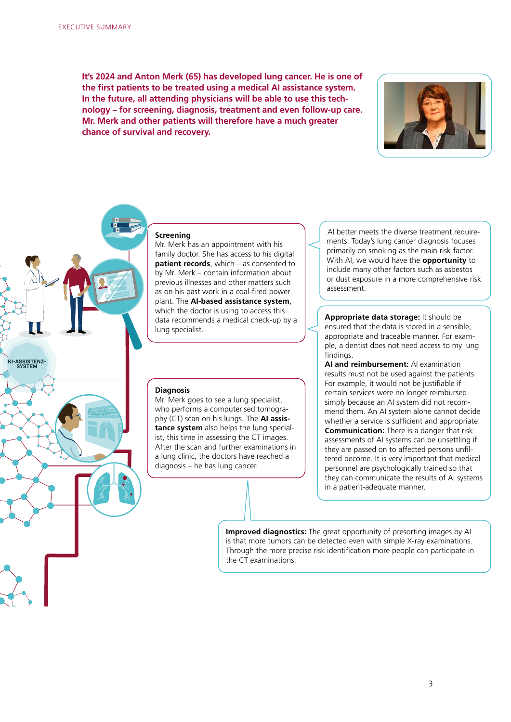**KI-ASSISTENZ- SYSTEM**

**It's 2024 and Anton Merk (65) has developed lung cancer. He is one of the first patients to be treated using a medical AI assistance system. In the future, all attending physicians will be able to use this technology – for screening, diagnosis, treatment and even follow-up care. Mr. Merk and other patients will therefore have a much greater chance of survival and recovery.**



#### **Screening**

Mr. Merk has an appointment with his family doctor. She has access to his digital **patient records**, which – as consented to by Mr. Merk – contain information about previous illnesses and other matters such as on his past work in a coal-fired power plant. The **AI-based assistance system**, which the doctor is using to access this data recommends a medical check-up by a lung specialist.

## **Diagnosis**

Mr. Merk goes to see a lung specialist, who performs a computerised tomography (CT) scan on his lungs. The **AI assistance system** also helps the lung specialist, this time in assessing the CT images. After the scan and further examinations in a lung clinic, the doctors have reached a diagnosis – he has lung cancer.

AI better meets the diverse treatment requirements: Today's lung cancer diagnosis focuses primarily on smoking as the main risk factor. With AI, we would have the **opportunity** to include many other factors such as asbestos or dust exposure in a more comprehensive risk assessment.

**Appropriate data storage:** It should be ensured that the data is stored in a sensible, appropriate and traceable manner. For example, a dentist does not need access to my lung findings.

**AI and reimbursement:** AI examination results must not be used against the patients. For example, it would not be justifiable if certain services were no longer reimbursed simply because an AI system did not recommend them. An AI system alone cannot decide whether a service is sufficient and appropriate. **Communication:** There is a danger that risk assessments of AI systems can be unsettling if they are passed on to affected persons unfiltered become. It is very important that medical personnel are psychologically trained so that they can communicate the results of AI systems in a patient-adequate manner.

**Improved diagnostics:** The great opportunity of presorting images by AI is that more tumors can be detected even with simple X-ray examinations. Through the more precise risk identification more people can participate in the CT examinations.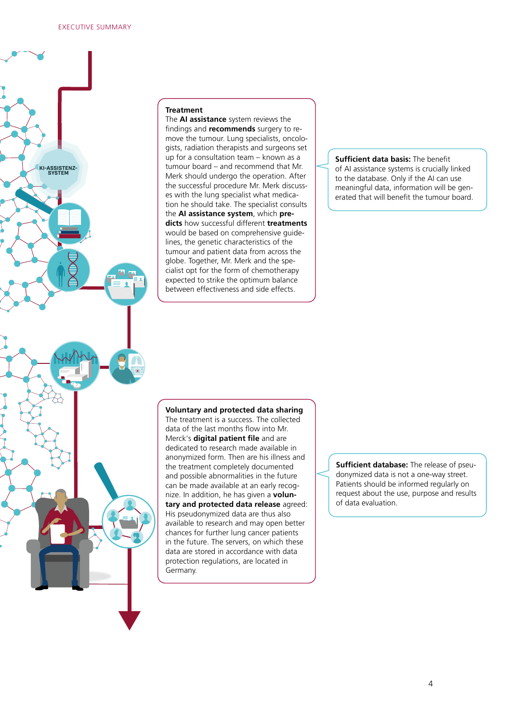

## **Treatment**

The **AI assistance** system reviews the findings and **recommends** surgery to remove the tumour. Lung specialists, oncologists, radiation therapists and surgeons set up for a consultation team – known as a tumour board – and recommend that Mr. Merk should undergo the operation. After the successful procedure Mr. Merk discusses with the lung specialist what medication he should take. The specialist consults the **AI assistance system**, which **predicts** how successful different **treatments** would be based on comprehensive guidelines, the genetic characteristics of the tumour and patient data from across the globe. Together, Mr. Merk and the specialist opt for the form of chemotherapy expected to strike the optimum balance between effectiveness and side effects.

**Sufficient data basis:** The benefit of AI assistance systems is crucially linked to the database. Only if the AI can use meaningful data, information will be generated that will benefit the tumour board.

## **Voluntary and protected data sharing**

The treatment is a success. The collected data of the last months flow into Mr. Merck's **digital patient file** and are dedicated to research made available in anonymized form. Then are his illness and the treatment completely documented and possible abnormalities in the future can be made available at an early recognize. In addition, he has given a **voluntary and protected data release** agreed: His pseudonymized data are thus also available to research and may open better chances for further lung cancer patients in the future. The servers, on which these data are stored in accordance with data protection regulations, are located in Germany.

**Sufficient database:** The release of pseudonymized data is not a one-way street. Patients should be informed regularly on request about the use, purpose and results of data evaluation.